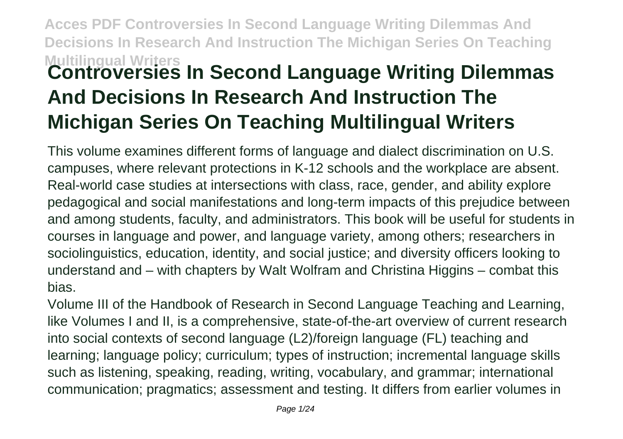### **Acces PDF Controversies In Second Language Writing Dilemmas And Decisions In Research And Instruction The Michigan Series On Teaching Multilingual Writers Controversies In Second Language Writing Dilemmas And Decisions In Research And Instruction The Michigan Series On Teaching Multilingual Writers**

This volume examines different forms of language and dialect discrimination on U.S. campuses, where relevant protections in K-12 schools and the workplace are absent. Real-world case studies at intersections with class, race, gender, and ability explore pedagogical and social manifestations and long-term impacts of this prejudice between and among students, faculty, and administrators. This book will be useful for students in courses in language and power, and language variety, among others; researchers in sociolinguistics, education, identity, and social justice; and diversity officers looking to understand and – with chapters by Walt Wolfram and Christina Higgins – combat this bias.

Volume III of the Handbook of Research in Second Language Teaching and Learning, like Volumes I and II, is a comprehensive, state-of-the-art overview of current research into social contexts of second language (L2)/foreign language (FL) teaching and learning; language policy; curriculum; types of instruction; incremental language skills such as listening, speaking, reading, writing, vocabulary, and grammar; international communication; pragmatics; assessment and testing. It differs from earlier volumes in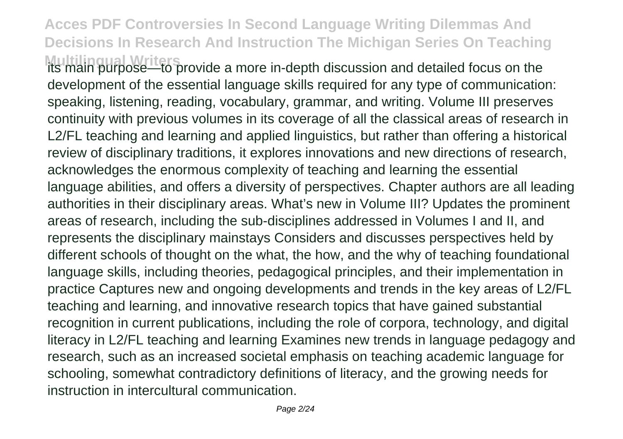**Multilingual Writers** provide a more in-depth discussion and detailed focus on the development of the essential language skills required for any type of communication: speaking, listening, reading, vocabulary, grammar, and writing. Volume III preserves continuity with previous volumes in its coverage of all the classical areas of research in L2/FL teaching and learning and applied linguistics, but rather than offering a historical review of disciplinary traditions, it explores innovations and new directions of research, acknowledges the enormous complexity of teaching and learning the essential language abilities, and offers a diversity of perspectives. Chapter authors are all leading authorities in their disciplinary areas. What's new in Volume III? Updates the prominent areas of research, including the sub-disciplines addressed in Volumes I and II, and represents the disciplinary mainstays Considers and discusses perspectives held by different schools of thought on the what, the how, and the why of teaching foundational language skills, including theories, pedagogical principles, and their implementation in practice Captures new and ongoing developments and trends in the key areas of L2/FL teaching and learning, and innovative research topics that have gained substantial recognition in current publications, including the role of corpora, technology, and digital literacy in L2/FL teaching and learning Examines new trends in language pedagogy and research, such as an increased societal emphasis on teaching academic language for schooling, somewhat contradictory definitions of literacy, and the growing needs for instruction in intercultural communication.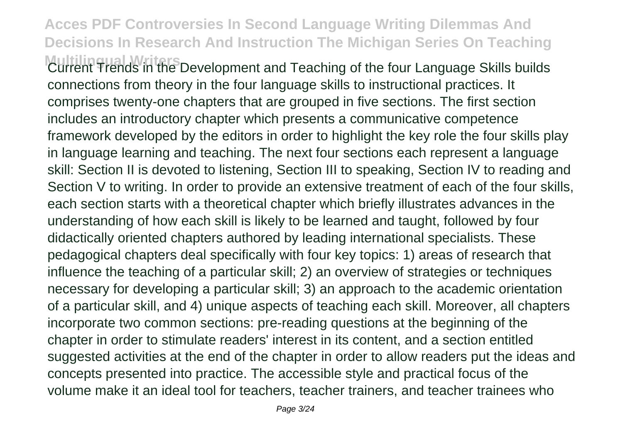**Multilingual Writers** Development and Teaching of the four Language Skills builds connections from theory in the four language skills to instructional practices. It comprises twenty-one chapters that are grouped in five sections. The first section includes an introductory chapter which presents a communicative competence framework developed by the editors in order to highlight the key role the four skills play in language learning and teaching. The next four sections each represent a language skill: Section II is devoted to listening, Section III to speaking, Section IV to reading and Section V to writing. In order to provide an extensive treatment of each of the four skills, each section starts with a theoretical chapter which briefly illustrates advances in the understanding of how each skill is likely to be learned and taught, followed by four didactically oriented chapters authored by leading international specialists. These pedagogical chapters deal specifically with four key topics: 1) areas of research that influence the teaching of a particular skill; 2) an overview of strategies or techniques necessary for developing a particular skill; 3) an approach to the academic orientation of a particular skill, and 4) unique aspects of teaching each skill. Moreover, all chapters incorporate two common sections: pre-reading questions at the beginning of the chapter in order to stimulate readers' interest in its content, and a section entitled suggested activities at the end of the chapter in order to allow readers put the ideas and concepts presented into practice. The accessible style and practical focus of the volume make it an ideal tool for teachers, teacher trainers, and teacher trainees who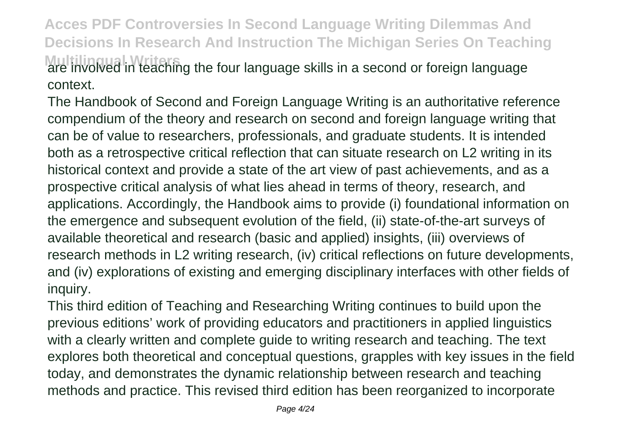**Acces PDF Controversies In Second Language Writing Dilemmas And Decisions In Research And Instruction The Michigan Series On Teaching Multilingual Writers** are four language skills in a second or foreign language context.

The Handbook of Second and Foreign Language Writing is an authoritative reference compendium of the theory and research on second and foreign language writing that can be of value to researchers, professionals, and graduate students. It is intended both as a retrospective critical reflection that can situate research on L2 writing in its historical context and provide a state of the art view of past achievements, and as a prospective critical analysis of what lies ahead in terms of theory, research, and applications. Accordingly, the Handbook aims to provide (i) foundational information on the emergence and subsequent evolution of the field, (ii) state-of-the-art surveys of available theoretical and research (basic and applied) insights, (iii) overviews of research methods in L2 writing research, (iv) critical reflections on future developments, and (iv) explorations of existing and emerging disciplinary interfaces with other fields of inquiry.

This third edition of Teaching and Researching Writing continues to build upon the previous editions' work of providing educators and practitioners in applied linguistics with a clearly written and complete guide to writing research and teaching. The text explores both theoretical and conceptual questions, grapples with key issues in the field today, and demonstrates the dynamic relationship between research and teaching methods and practice. This revised third edition has been reorganized to incorporate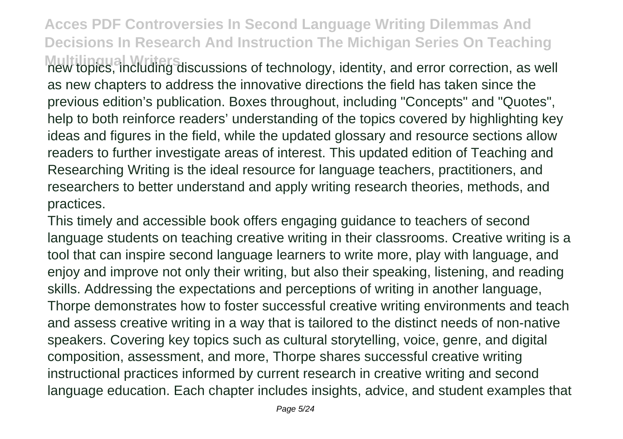**Multilingual Writers** new topics, including discussions of technology, identity, and error correction, as well as new chapters to address the innovative directions the field has taken since the previous edition's publication. Boxes throughout, including "Concepts" and "Quotes", help to both reinforce readers' understanding of the topics covered by highlighting key ideas and figures in the field, while the updated glossary and resource sections allow readers to further investigate areas of interest. This updated edition of Teaching and Researching Writing is the ideal resource for language teachers, practitioners, and researchers to better understand and apply writing research theories, methods, and practices.

This timely and accessible book offers engaging guidance to teachers of second language students on teaching creative writing in their classrooms. Creative writing is a tool that can inspire second language learners to write more, play with language, and enjoy and improve not only their writing, but also their speaking, listening, and reading skills. Addressing the expectations and perceptions of writing in another language, Thorpe demonstrates how to foster successful creative writing environments and teach and assess creative writing in a way that is tailored to the distinct needs of non-native speakers. Covering key topics such as cultural storytelling, voice, genre, and digital composition, assessment, and more, Thorpe shares successful creative writing instructional practices informed by current research in creative writing and second language education. Each chapter includes insights, advice, and student examples that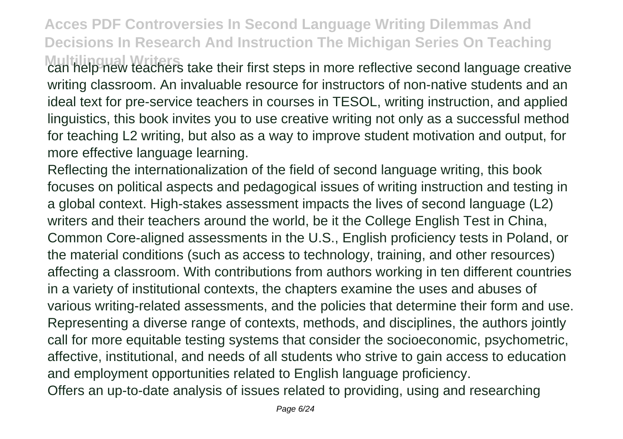**Multilingual Writers** can help new teachers take their first steps in more reflective second language creative writing classroom. An invaluable resource for instructors of non-native students and an ideal text for pre-service teachers in courses in TESOL, writing instruction, and applied linguistics, this book invites you to use creative writing not only as a successful method for teaching L2 writing, but also as a way to improve student motivation and output, for more effective language learning.

Reflecting the internationalization of the field of second language writing, this book focuses on political aspects and pedagogical issues of writing instruction and testing in a global context. High-stakes assessment impacts the lives of second language (L2) writers and their teachers around the world, be it the College English Test in China, Common Core-aligned assessments in the U.S., English proficiency tests in Poland, or the material conditions (such as access to technology, training, and other resources) affecting a classroom. With contributions from authors working in ten different countries in a variety of institutional contexts, the chapters examine the uses and abuses of various writing-related assessments, and the policies that determine their form and use. Representing a diverse range of contexts, methods, and disciplines, the authors jointly call for more equitable testing systems that consider the socioeconomic, psychometric, affective, institutional, and needs of all students who strive to gain access to education and employment opportunities related to English language proficiency. Offers an up-to-date analysis of issues related to providing, using and researching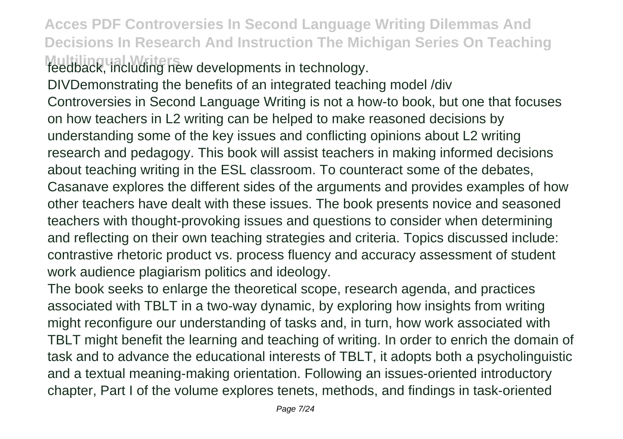**Acces PDF Controversies In Second Language Writing Dilemmas And Decisions In Research And Instruction The Michigan Series On Teaching** feedback, including new developments in technology.

DIVDemonstrating the benefits of an integrated teaching model /div Controversies in Second Language Writing is not a how-to book, but one that focuses on how teachers in L2 writing can be helped to make reasoned decisions by understanding some of the key issues and conflicting opinions about L2 writing research and pedagogy. This book will assist teachers in making informed decisions about teaching writing in the ESL classroom. To counteract some of the debates, Casanave explores the different sides of the arguments and provides examples of how other teachers have dealt with these issues. The book presents novice and seasoned teachers with thought-provoking issues and questions to consider when determining and reflecting on their own teaching strategies and criteria. Topics discussed include: contrastive rhetoric product vs. process fluency and accuracy assessment of student work audience plagiarism politics and ideology.

The book seeks to enlarge the theoretical scope, research agenda, and practices associated with TBLT in a two-way dynamic, by exploring how insights from writing might reconfigure our understanding of tasks and, in turn, how work associated with TBLT might benefit the learning and teaching of writing. In order to enrich the domain of task and to advance the educational interests of TBLT, it adopts both a psycholinguistic and a textual meaning-making orientation. Following an issues-oriented introductory chapter, Part I of the volume explores tenets, methods, and findings in task-oriented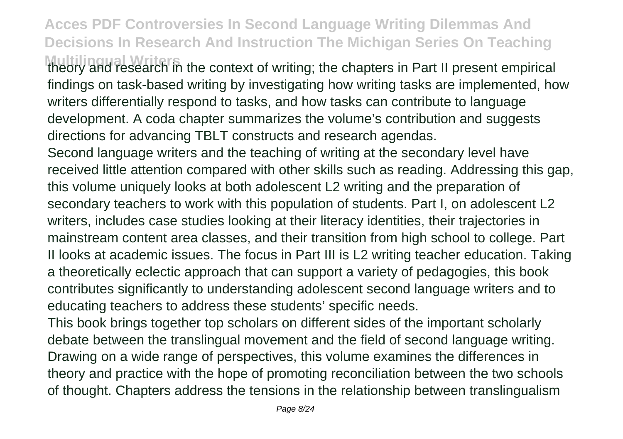**Multilingual Writers** the context of writing; the chapters in Part II present empirical findings on task-based writing by investigating how writing tasks are implemented, how writers differentially respond to tasks, and how tasks can contribute to language development. A coda chapter summarizes the volume's contribution and suggests directions for advancing TBLT constructs and research agendas.

Second language writers and the teaching of writing at the secondary level have received little attention compared with other skills such as reading. Addressing this gap, this volume uniquely looks at both adolescent L2 writing and the preparation of secondary teachers to work with this population of students. Part I, on adolescent L2 writers, includes case studies looking at their literacy identities, their trajectories in mainstream content area classes, and their transition from high school to college. Part II looks at academic issues. The focus in Part III is L2 writing teacher education. Taking a theoretically eclectic approach that can support a variety of pedagogies, this book contributes significantly to understanding adolescent second language writers and to educating teachers to address these students' specific needs.

This book brings together top scholars on different sides of the important scholarly debate between the translingual movement and the field of second language writing. Drawing on a wide range of perspectives, this volume examines the differences in theory and practice with the hope of promoting reconciliation between the two schools of thought. Chapters address the tensions in the relationship between translingualism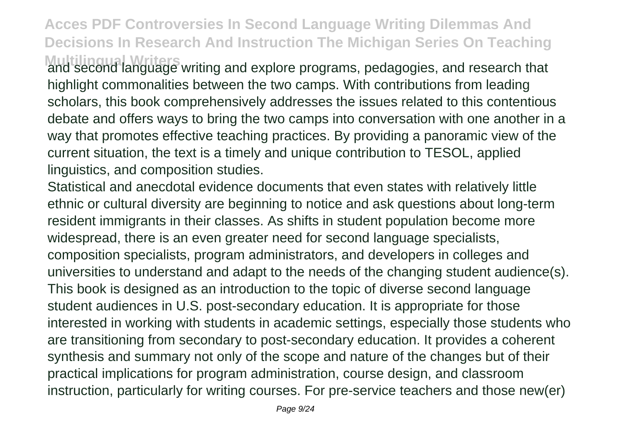**Multilingual Writers** and second language writing and explore programs, pedagogies, and research that highlight commonalities between the two camps. With contributions from leading scholars, this book comprehensively addresses the issues related to this contentious debate and offers ways to bring the two camps into conversation with one another in a way that promotes effective teaching practices. By providing a panoramic view of the current situation, the text is a timely and unique contribution to TESOL, applied linguistics, and composition studies.

Statistical and anecdotal evidence documents that even states with relatively little ethnic or cultural diversity are beginning to notice and ask questions about long-term resident immigrants in their classes. As shifts in student population become more widespread, there is an even greater need for second language specialists, composition specialists, program administrators, and developers in colleges and universities to understand and adapt to the needs of the changing student audience(s). This book is designed as an introduction to the topic of diverse second language student audiences in U.S. post-secondary education. It is appropriate for those interested in working with students in academic settings, especially those students who are transitioning from secondary to post-secondary education. It provides a coherent synthesis and summary not only of the scope and nature of the changes but of their practical implications for program administration, course design, and classroom instruction, particularly for writing courses. For pre-service teachers and those new(er)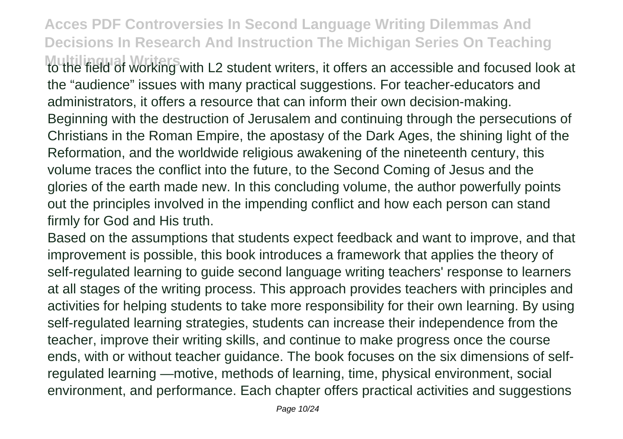**Multilingual Writers** to the field of working with L2 student writers, it offers an accessible and focused look at the "audience" issues with many practical suggestions. For teacher-educators and administrators, it offers a resource that can inform their own decision-making. Beginning with the destruction of Jerusalem and continuing through the persecutions of Christians in the Roman Empire, the apostasy of the Dark Ages, the shining light of the Reformation, and the worldwide religious awakening of the nineteenth century, this volume traces the conflict into the future, to the Second Coming of Jesus and the glories of the earth made new. In this concluding volume, the author powerfully points out the principles involved in the impending conflict and how each person can stand firmly for God and His truth.

Based on the assumptions that students expect feedback and want to improve, and that improvement is possible, this book introduces a framework that applies the theory of self-regulated learning to guide second language writing teachers' response to learners at all stages of the writing process. This approach provides teachers with principles and activities for helping students to take more responsibility for their own learning. By using self-regulated learning strategies, students can increase their independence from the teacher, improve their writing skills, and continue to make progress once the course ends, with or without teacher guidance. The book focuses on the six dimensions of selfregulated learning —motive, methods of learning, time, physical environment, social environment, and performance. Each chapter offers practical activities and suggestions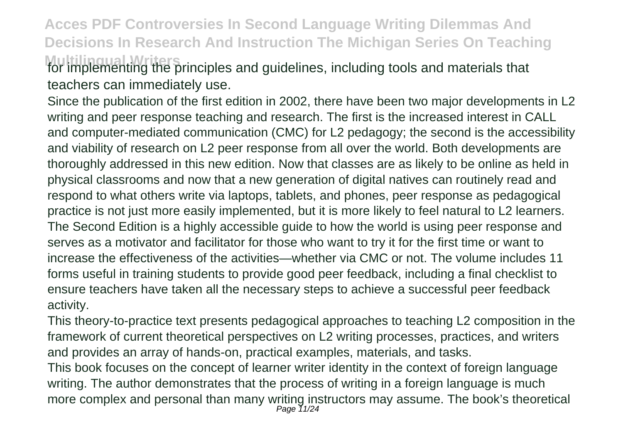**Acces PDF Controversies In Second Language Writing Dilemmas And Decisions In Research And Instruction The Michigan Series On Teaching Multilingual Writers** for implementing the principles and guidelines, including tools and materials that teachers can immediately use.

Since the publication of the first edition in 2002, there have been two major developments in L2 writing and peer response teaching and research. The first is the increased interest in CALL and computer-mediated communication (CMC) for L2 pedagogy; the second is the accessibility and viability of research on L2 peer response from all over the world. Both developments are thoroughly addressed in this new edition. Now that classes are as likely to be online as held in physical classrooms and now that a new generation of digital natives can routinely read and respond to what others write via laptops, tablets, and phones, peer response as pedagogical practice is not just more easily implemented, but it is more likely to feel natural to L2 learners. The Second Edition is a highly accessible guide to how the world is using peer response and serves as a motivator and facilitator for those who want to try it for the first time or want to increase the effectiveness of the activities—whether via CMC or not. The volume includes 11 forms useful in training students to provide good peer feedback, including a final checklist to ensure teachers have taken all the necessary steps to achieve a successful peer feedback activity.

This theory-to-practice text presents pedagogical approaches to teaching L2 composition in the framework of current theoretical perspectives on L2 writing processes, practices, and writers and provides an array of hands-on, practical examples, materials, and tasks. This book focuses on the concept of learner writer identity in the context of foreign language writing. The author demonstrates that the process of writing in a foreign language is much more complex and personal than many writing instructors may assume. The book's theoretical<br>
<sub>Page 11/24</sub>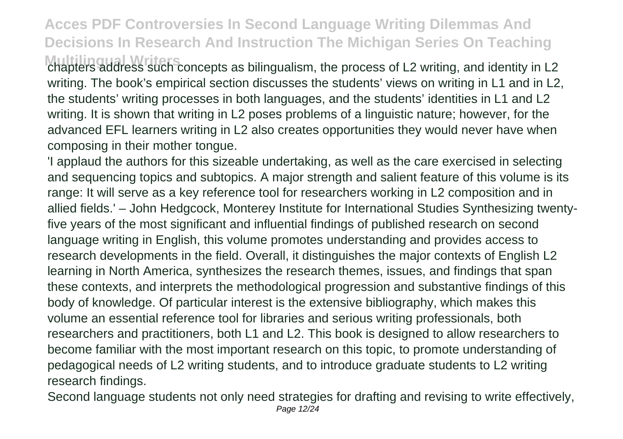**Multilingual Writers** chapters address such concepts as bilingualism, the process of L2 writing, and identity in L2 writing. The book's empirical section discusses the students' views on writing in L1 and in L2. the students' writing processes in both languages, and the students' identities in L1 and L2 writing. It is shown that writing in L2 poses problems of a linguistic nature; however, for the advanced EFL learners writing in L2 also creates opportunities they would never have when composing in their mother tongue.

'I applaud the authors for this sizeable undertaking, as well as the care exercised in selecting and sequencing topics and subtopics. A major strength and salient feature of this volume is its range: It will serve as a key reference tool for researchers working in L2 composition and in allied fields.' – John Hedgcock, Monterey Institute for International Studies Synthesizing twentyfive years of the most significant and influential findings of published research on second language writing in English, this volume promotes understanding and provides access to research developments in the field. Overall, it distinguishes the major contexts of English L2 learning in North America, synthesizes the research themes, issues, and findings that span these contexts, and interprets the methodological progression and substantive findings of this body of knowledge. Of particular interest is the extensive bibliography, which makes this volume an essential reference tool for libraries and serious writing professionals, both researchers and practitioners, both L1 and L2. This book is designed to allow researchers to become familiar with the most important research on this topic, to promote understanding of pedagogical needs of L2 writing students, and to introduce graduate students to L2 writing research findings.

Second language students not only need strategies for drafting and revising to write effectively, Page 12/24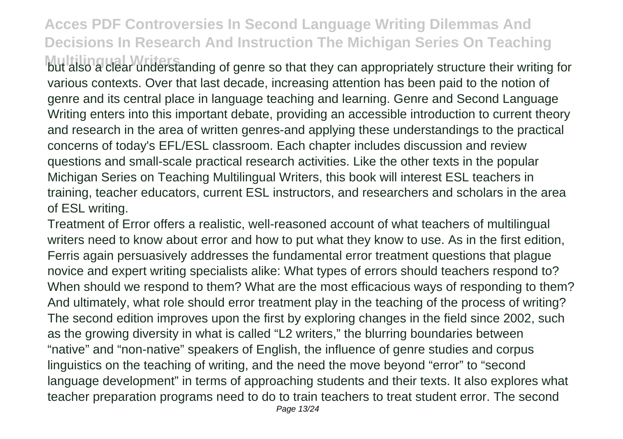**Multilingual Writers** but also a clear understanding of genre so that they can appropriately structure their writing for various contexts. Over that last decade, increasing attention has been paid to the notion of genre and its central place in language teaching and learning. Genre and Second Language Writing enters into this important debate, providing an accessible introduction to current theory and research in the area of written genres-and applying these understandings to the practical concerns of today's EFL/ESL classroom. Each chapter includes discussion and review questions and small-scale practical research activities. Like the other texts in the popular Michigan Series on Teaching Multilingual Writers, this book will interest ESL teachers in training, teacher educators, current ESL instructors, and researchers and scholars in the area of ESL writing.

Treatment of Error offers a realistic, well-reasoned account of what teachers of multilingual writers need to know about error and how to put what they know to use. As in the first edition, Ferris again persuasively addresses the fundamental error treatment questions that plague novice and expert writing specialists alike: What types of errors should teachers respond to? When should we respond to them? What are the most efficacious ways of responding to them? And ultimately, what role should error treatment play in the teaching of the process of writing? The second edition improves upon the first by exploring changes in the field since 2002, such as the growing diversity in what is called "L2 writers," the blurring boundaries between "native" and "non-native" speakers of English, the influence of genre studies and corpus linguistics on the teaching of writing, and the need the move beyond "error" to "second language development" in terms of approaching students and their texts. It also explores what teacher preparation programs need to do to train teachers to treat student error. The second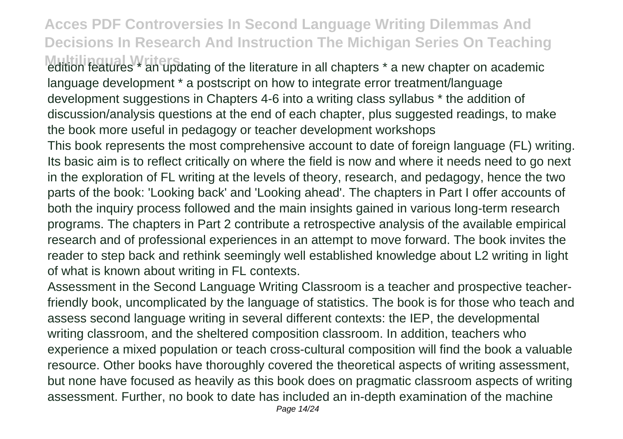**Multilingual Writers** and updating of the literature in all chapters \* a new chapter on academic language development \* a postscript on how to integrate error treatment/language development suggestions in Chapters 4-6 into a writing class syllabus \* the addition of discussion/analysis questions at the end of each chapter, plus suggested readings, to make the book more useful in pedagogy or teacher development workshops

This book represents the most comprehensive account to date of foreign language (FL) writing. Its basic aim is to reflect critically on where the field is now and where it needs need to go next in the exploration of FL writing at the levels of theory, research, and pedagogy, hence the two parts of the book: 'Looking back' and 'Looking ahead'. The chapters in Part I offer accounts of both the inquiry process followed and the main insights gained in various long-term research programs. The chapters in Part 2 contribute a retrospective analysis of the available empirical research and of professional experiences in an attempt to move forward. The book invites the reader to step back and rethink seemingly well established knowledge about L2 writing in light of what is known about writing in FL contexts.

Assessment in the Second Language Writing Classroom is a teacher and prospective teacherfriendly book, uncomplicated by the language of statistics. The book is for those who teach and assess second language writing in several different contexts: the IEP, the developmental writing classroom, and the sheltered composition classroom. In addition, teachers who experience a mixed population or teach cross-cultural composition will find the book a valuable resource. Other books have thoroughly covered the theoretical aspects of writing assessment, but none have focused as heavily as this book does on pragmatic classroom aspects of writing assessment. Further, no book to date has included an in-depth examination of the machine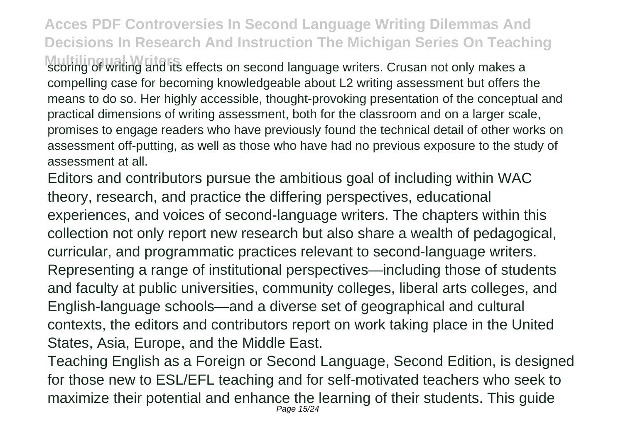**Multiplie Writers in the its effects on second language writers. Crusan not only makes a** compelling case for becoming knowledgeable about L2 writing assessment but offers the means to do so. Her highly accessible, thought-provoking presentation of the conceptual and practical dimensions of writing assessment, both for the classroom and on a larger scale, promises to engage readers who have previously found the technical detail of other works on assessment off-putting, as well as those who have had no previous exposure to the study of assessment at all.

Editors and contributors pursue the ambitious goal of including within WAC theory, research, and practice the differing perspectives, educational experiences, and voices of second-language writers. The chapters within this collection not only report new research but also share a wealth of pedagogical, curricular, and programmatic practices relevant to second-language writers. Representing a range of institutional perspectives—including those of students and faculty at public universities, community colleges, liberal arts colleges, and English-language schools—and a diverse set of geographical and cultural contexts, the editors and contributors report on work taking place in the United States, Asia, Europe, and the Middle East.

Teaching English as a Foreign or Second Language, Second Edition, is designed for those new to ESL/EFL teaching and for self-motivated teachers who seek to maximize their potential and enhance the learning of their students. This guide Page 15/24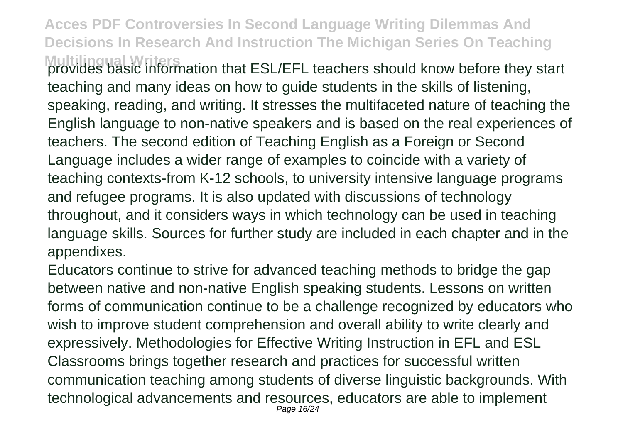**Multilingual Writers** provides basic information that ESL/EFL teachers should know before they start teaching and many ideas on how to guide students in the skills of listening, speaking, reading, and writing. It stresses the multifaceted nature of teaching the English language to non-native speakers and is based on the real experiences of teachers. The second edition of Teaching English as a Foreign or Second Language includes a wider range of examples to coincide with a variety of teaching contexts-from K-12 schools, to university intensive language programs and refugee programs. It is also updated with discussions of technology throughout, and it considers ways in which technology can be used in teaching language skills. Sources for further study are included in each chapter and in the appendixes.

Educators continue to strive for advanced teaching methods to bridge the gap between native and non-native English speaking students. Lessons on written forms of communication continue to be a challenge recognized by educators who wish to improve student comprehension and overall ability to write clearly and expressively. Methodologies for Effective Writing Instruction in EFL and ESL Classrooms brings together research and practices for successful written communication teaching among students of diverse linguistic backgrounds. With technological advancements and resources, educators are able to implement Page 16/24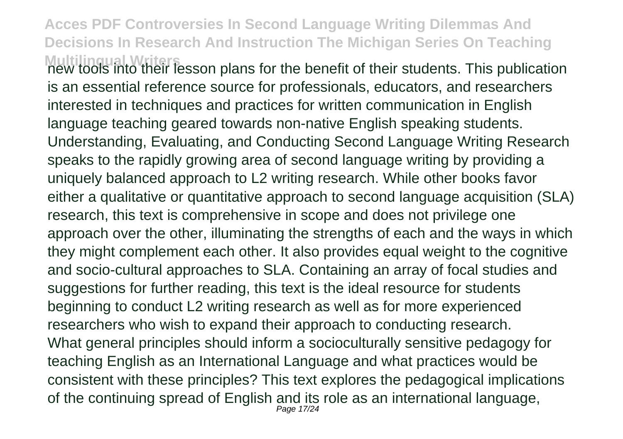**Multilingual Writers** new tools into their lesson plans for the benefit of their students. This publication is an essential reference source for professionals, educators, and researchers interested in techniques and practices for written communication in English language teaching geared towards non-native English speaking students. Understanding, Evaluating, and Conducting Second Language Writing Research speaks to the rapidly growing area of second language writing by providing a uniquely balanced approach to L2 writing research. While other books favor either a qualitative or quantitative approach to second language acquisition (SLA) research, this text is comprehensive in scope and does not privilege one approach over the other, illuminating the strengths of each and the ways in which they might complement each other. It also provides equal weight to the cognitive and socio-cultural approaches to SLA. Containing an array of focal studies and suggestions for further reading, this text is the ideal resource for students beginning to conduct L2 writing research as well as for more experienced researchers who wish to expand their approach to conducting research. What general principles should inform a socioculturally sensitive pedagogy for teaching English as an International Language and what practices would be consistent with these principles? This text explores the pedagogical implications of the continuing spread of English and its role as an international language, Page 17/24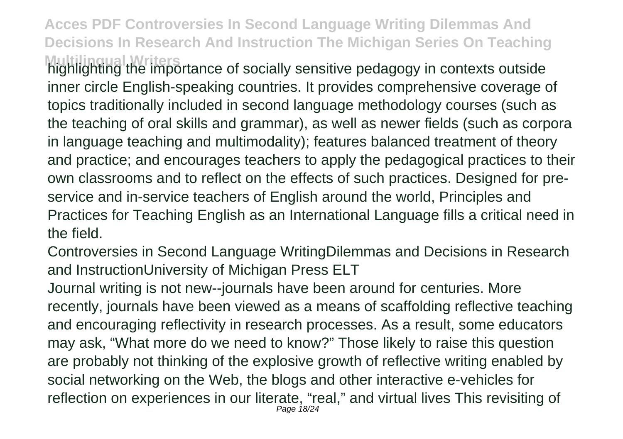**Multilingual Writers** highlighting the importance of socially sensitive pedagogy in contexts outside inner circle English-speaking countries. It provides comprehensive coverage of topics traditionally included in second language methodology courses (such as the teaching of oral skills and grammar), as well as newer fields (such as corpora in language teaching and multimodality); features balanced treatment of theory and practice; and encourages teachers to apply the pedagogical practices to their own classrooms and to reflect on the effects of such practices. Designed for preservice and in-service teachers of English around the world, Principles and Practices for Teaching English as an International Language fills a critical need in the field.

Controversies in Second Language WritingDilemmas and Decisions in Research and InstructionUniversity of Michigan Press ELT

Journal writing is not new--journals have been around for centuries. More recently, journals have been viewed as a means of scaffolding reflective teaching and encouraging reflectivity in research processes. As a result, some educators may ask, "What more do we need to know?" Those likely to raise this question are probably not thinking of the explosive growth of reflective writing enabled by social networking on the Web, the blogs and other interactive e-vehicles for reflection on experiences in our literate, "real," and virtual lives This revisiting of Page 18/24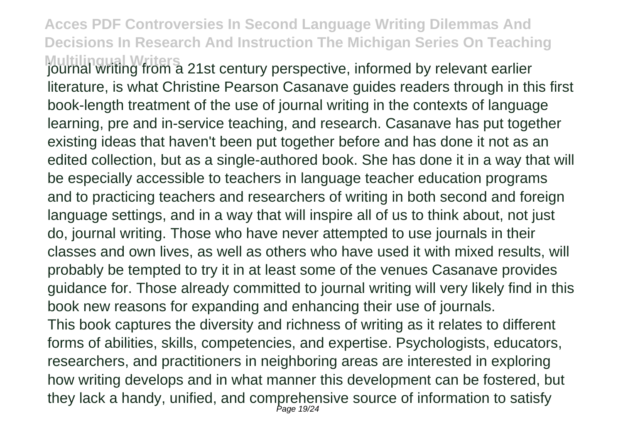**Multilingual Writers**<br>journal writing from a 21st century perspective, informed by relevant earlier literature, is what Christine Pearson Casanave guides readers through in this first book-length treatment of the use of journal writing in the contexts of language learning, pre and in-service teaching, and research. Casanave has put together existing ideas that haven't been put together before and has done it not as an edited collection, but as a single-authored book. She has done it in a way that will be especially accessible to teachers in language teacher education programs and to practicing teachers and researchers of writing in both second and foreign language settings, and in a way that will inspire all of us to think about, not just do, journal writing. Those who have never attempted to use journals in their classes and own lives, as well as others who have used it with mixed results, will probably be tempted to try it in at least some of the venues Casanave provides guidance for. Those already committed to journal writing will very likely find in this book new reasons for expanding and enhancing their use of journals. This book captures the diversity and richness of writing as it relates to different forms of abilities, skills, competencies, and expertise. Psychologists, educators, researchers, and practitioners in neighboring areas are interested in exploring how writing develops and in what manner this development can be fostered, but they lack a handy, unified, and comprehensive source of information to satisfy Page 19/24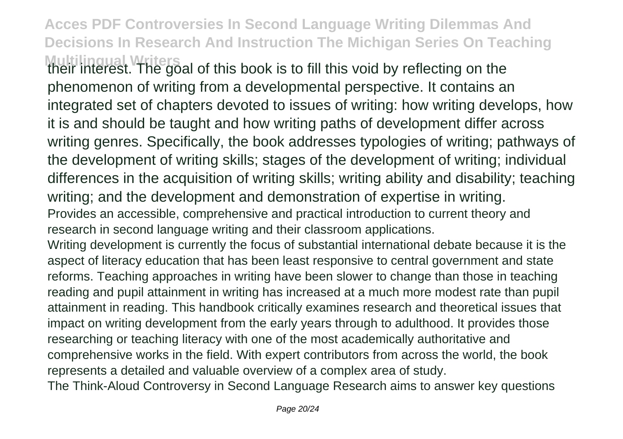**Acces PDF Controversies In Second Language Writing Dilemmas And Decisions In Research And Instruction The Michigan Series On Teaching Multilingual Writers**<br>their interest. The goal of this book is to fill this void by reflecting on the

phenomenon of writing from a developmental perspective. It contains an integrated set of chapters devoted to issues of writing: how writing develops, how it is and should be taught and how writing paths of development differ across writing genres. Specifically, the book addresses typologies of writing; pathways of the development of writing skills; stages of the development of writing; individual differences in the acquisition of writing skills; writing ability and disability; teaching writing; and the development and demonstration of expertise in writing. Provides an accessible, comprehensive and practical introduction to current theory and

research in second language writing and their classroom applications.

Writing development is currently the focus of substantial international debate because it is the aspect of literacy education that has been least responsive to central government and state reforms. Teaching approaches in writing have been slower to change than those in teaching reading and pupil attainment in writing has increased at a much more modest rate than pupil attainment in reading. This handbook critically examines research and theoretical issues that impact on writing development from the early years through to adulthood. It provides those researching or teaching literacy with one of the most academically authoritative and comprehensive works in the field. With expert contributors from across the world, the book represents a detailed and valuable overview of a complex area of study.

The Think-Aloud Controversy in Second Language Research aims to answer key questions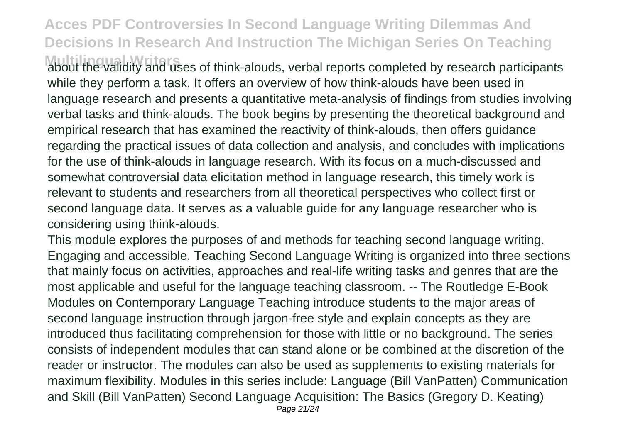**Multilingual Writers** about the validity and uses of think-alouds, verbal reports completed by research participants while they perform a task. It offers an overview of how think-alouds have been used in language research and presents a quantitative meta-analysis of findings from studies involving verbal tasks and think-alouds. The book begins by presenting the theoretical background and empirical research that has examined the reactivity of think-alouds, then offers guidance regarding the practical issues of data collection and analysis, and concludes with implications for the use of think-alouds in language research. With its focus on a much-discussed and somewhat controversial data elicitation method in language research, this timely work is relevant to students and researchers from all theoretical perspectives who collect first or second language data. It serves as a valuable guide for any language researcher who is considering using think-alouds.

This module explores the purposes of and methods for teaching second language writing. Engaging and accessible, Teaching Second Language Writing is organized into three sections that mainly focus on activities, approaches and real-life writing tasks and genres that are the most applicable and useful for the language teaching classroom. -- The Routledge E-Book Modules on Contemporary Language Teaching introduce students to the major areas of second language instruction through jargon-free style and explain concepts as they are introduced thus facilitating comprehension for those with little or no background. The series consists of independent modules that can stand alone or be combined at the discretion of the reader or instructor. The modules can also be used as supplements to existing materials for maximum flexibility. Modules in this series include: Language (Bill VanPatten) Communication and Skill (Bill VanPatten) Second Language Acquisition: The Basics (Gregory D. Keating) Page 21/24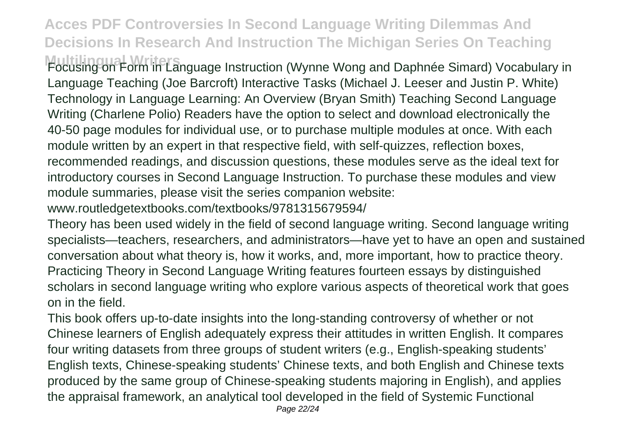**Multilingual Writers** Focusing on Form in Language Instruction (Wynne Wong and Daphnée Simard) Vocabulary in Language Teaching (Joe Barcroft) Interactive Tasks (Michael J. Leeser and Justin P. White) Technology in Language Learning: An Overview (Bryan Smith) Teaching Second Language Writing (Charlene Polio) Readers have the option to select and download electronically the 40-50 page modules for individual use, or to purchase multiple modules at once. With each module written by an expert in that respective field, with self-quizzes, reflection boxes, recommended readings, and discussion questions, these modules serve as the ideal text for introductory courses in Second Language Instruction. To purchase these modules and view module summaries, please visit the series companion website:

www.routledgetextbooks.com/textbooks/9781315679594/

Theory has been used widely in the field of second language writing. Second language writing specialists—teachers, researchers, and administrators—have yet to have an open and sustained conversation about what theory is, how it works, and, more important, how to practice theory. Practicing Theory in Second Language Writing features fourteen essays by distinguished scholars in second language writing who explore various aspects of theoretical work that goes on in the field.

This book offers up-to-date insights into the long-standing controversy of whether or not Chinese learners of English adequately express their attitudes in written English. It compares four writing datasets from three groups of student writers (e.g., English-speaking students' English texts, Chinese-speaking students' Chinese texts, and both English and Chinese texts produced by the same group of Chinese-speaking students majoring in English), and applies the appraisal framework, an analytical tool developed in the field of Systemic Functional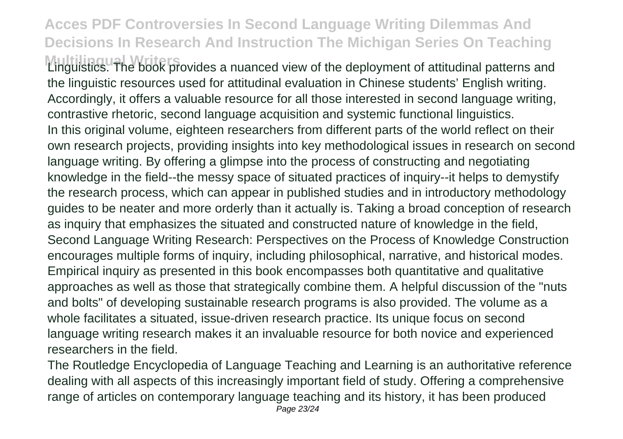**Multilingual Writers** Linguistics. The book provides a nuanced view of the deployment of attitudinal patterns and the linguistic resources used for attitudinal evaluation in Chinese students' English writing. Accordingly, it offers a valuable resource for all those interested in second language writing, contrastive rhetoric, second language acquisition and systemic functional linguistics. In this original volume, eighteen researchers from different parts of the world reflect on their own research projects, providing insights into key methodological issues in research on second language writing. By offering a glimpse into the process of constructing and negotiating knowledge in the field--the messy space of situated practices of inquiry--it helps to demystify the research process, which can appear in published studies and in introductory methodology guides to be neater and more orderly than it actually is. Taking a broad conception of research as inquiry that emphasizes the situated and constructed nature of knowledge in the field, Second Language Writing Research: Perspectives on the Process of Knowledge Construction encourages multiple forms of inquiry, including philosophical, narrative, and historical modes. Empirical inquiry as presented in this book encompasses both quantitative and qualitative approaches as well as those that strategically combine them. A helpful discussion of the "nuts and bolts" of developing sustainable research programs is also provided. The volume as a whole facilitates a situated, issue-driven research practice. Its unique focus on second language writing research makes it an invaluable resource for both novice and experienced researchers in the field.

The Routledge Encyclopedia of Language Teaching and Learning is an authoritative reference dealing with all aspects of this increasingly important field of study. Offering a comprehensive range of articles on contemporary language teaching and its history, it has been produced Page 23/24